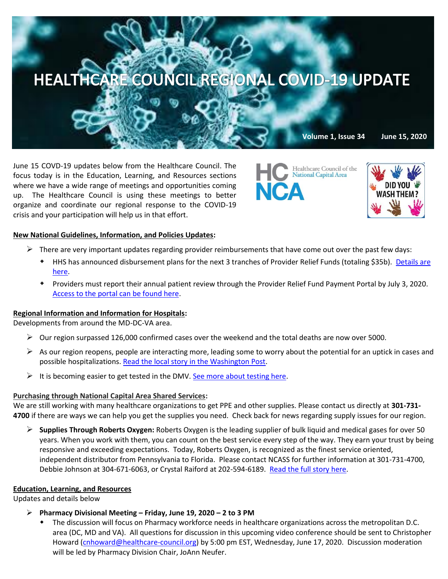

June 15 COVD-19 updates below from the Healthcare Council. The focus today is in the Education, Learning, and Resources sections where we have a wide range of meetings and opportunities coming up. The Healthcare Council is using these meetings to better organize and coordinate our regional response to the COVID-19 crisis and your participation will help us in that effort.





### **New National Guidelines, Information, and Policies Updates:**

- $\triangleright$  There are very important updates regarding provider reimbursements that have come out over the past few days:
	- HHS has announced disbursement plans for the next 3 tranches of Provider Relief Funds (totaling \$35b). [Details are](https://www.hhs.gov/about/news/2020/06/09/hhs-announces-enhanced-provider-portal-relief-fund-payments-for-safety-net-hospitals-medicaid-chip-providers.html)  [here.](https://www.hhs.gov/about/news/2020/06/09/hhs-announces-enhanced-provider-portal-relief-fund-payments-for-safety-net-hospitals-medicaid-chip-providers.html)
	- Providers must report their annual patient review through the Provider Relief Fund Payment Portal by July 3, 2020. [Access to the portal can be found here.](https://cares.linkhealth.com/#/)

### **Regional Information and Information for Hospitals:**

Developments from around the MD-DC-VA area.

- $\triangleright$  Our region surpassed 126,000 confirmed cases over the weekend and the total deaths are now over 5000.
- $\triangleright$  As our region reopens, people are interacting more, leading some to worry about the potential for an uptick in cases and possible hospitalizations. [Read the local story in the Washington Post.](https://www.washingtonpost.com/local/lured-by-sunny-weather-dc-residents-spill-outside-masks-and-social-distancing-at-times-forgotten/2020/06/14/2e9fbb06-ae44-11ea-8f56-63f38c990077_story.html)
- $\triangleright$  It is becoming easier to get tested in the DMV[. See more about testing here.](https://www.washingtonpost.com/local/getting-tested-for-coronavirus-in-virginia-maryland-dc/2020/03/26/5e19f608-6de9-11ea-a3ec-70d7479d83f0_story.html)

### **Purchasing through National Capital Area Shared Services:**

We are still working with many healthcare organizations to get PPE and other supplies. Please contact us directly at **301-731- 4700** if there are ways we can help you get the supplies you need. Check back for news regarding supply issues for our region.

 **Supplies Through Roberts Oxygen:** Roberts Oxygen is the leading supplier of bulk liquid and medical gases for over 50 years. When you work with them, you can count on the best service every step of the way. They earn your trust by being responsive and exceeding expectations. Today, Roberts Oxygen, is recognized as the finest service oriented, independent distributor from Pennsylvania to Florida. Please contact NCASS for further information at 301-731-4700, Debbie Johnson at 304-671-6063, or Crystal Raiford at 202-594-6189. [Read the full story here.](https://biobuzz.io/roberts-oxygen-delivers-in-the-clutch-for-maryland-hospitals-and-covid-19-patients-through-fema-contract/)

### **Education, Learning, and Resources**

Updates and details below

- **Pharmacy Divisional Meeting – Friday, June 19, 2020 – 2 to 3 PM**
	- The discussion will focus on Pharmacy workforce needs in healthcare organizations across the metropolitan D.C. area (DC, MD and VA). All questions for discussion in this upcoming video conference should be sent to Christopher Howard [\(cnhoward@healthcare-council.org\)](mailto:cnhoward@healthcare-council.org) by 5:00 pm EST, Wednesday, June 17, 2020. Discussion moderation will be led by Pharmacy Division Chair, JoAnn Neufer.